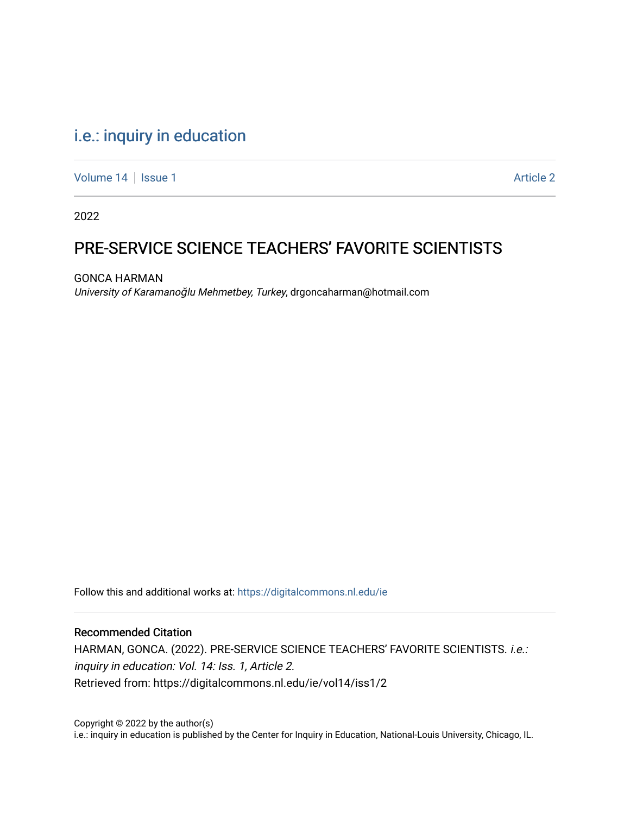# [i.e.: inquiry in education](https://digitalcommons.nl.edu/ie)

[Volume 14](https://digitalcommons.nl.edu/ie/vol14) | [Issue 1](https://digitalcommons.nl.edu/ie/vol14/iss1) Article 2

2022

# PRE-SERVICE SCIENCE TEACHERS' FAVORITE SCIENTISTS

GONCA HARMAN University of Karamanoğlu Mehmetbey, Turkey, drgoncaharman@hotmail.com

Follow this and additional works at: [https://digitalcommons.nl.edu/ie](https://digitalcommons.nl.edu/ie?utm_source=digitalcommons.nl.edu%2Fie%2Fvol14%2Fiss1%2F2&utm_medium=PDF&utm_campaign=PDFCoverPages) 

#### Recommended Citation

HARMAN, GONCA. (2022). PRE-SERVICE SCIENCE TEACHERS' FAVORITE SCIENTISTS. i.e.: inquiry in education: Vol. 14: Iss. 1, Article 2. Retrieved from: https://digitalcommons.nl.edu/ie/vol14/iss1/2

Copyright © 2022 by the author(s) i.e.: inquiry in education is published by the Center for Inquiry in Education, National-Louis University, Chicago, IL.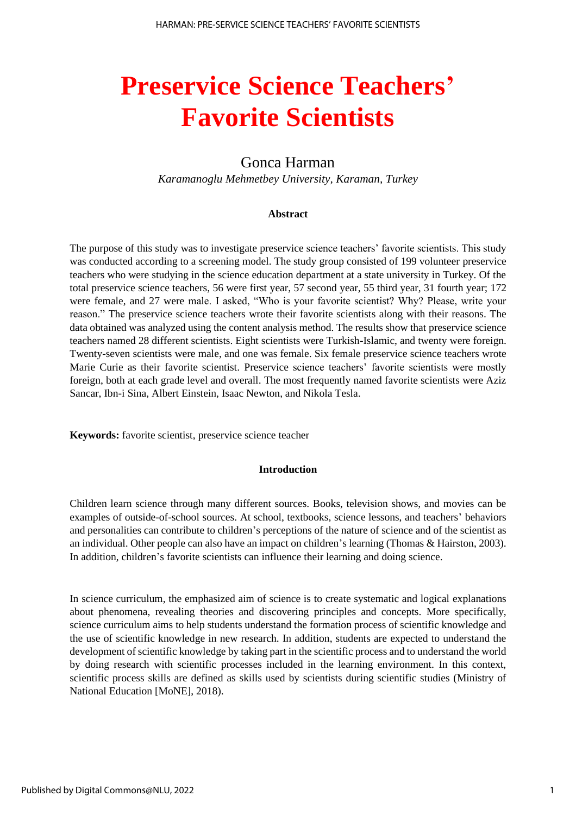# **Preservice Science Teachers' Favorite Scientists**

# Gonca Harman

*Karamanoglu Mehmetbey University, Karaman, Turkey*

#### **Abstract**

The purpose of this study was to investigate preservice science teachers' favorite scientists. This study was conducted according to a screening model. The study group consisted of 199 volunteer preservice teachers who were studying in the science education department at a state university in Turkey. Of the total preservice science teachers, 56 were first year, 57 second year, 55 third year, 31 fourth year; 172 were female, and 27 were male. I asked, "Who is your favorite scientist? Why? Please, write your reason." The preservice science teachers wrote their favorite scientists along with their reasons. The data obtained was analyzed using the content analysis method. The results show that preservice science teachers named 28 different scientists. Eight scientists were Turkish-Islamic, and twenty were foreign. Twenty-seven scientists were male, and one was female. Six female preservice science teachers wrote Marie Curie as their favorite scientist. Preservice science teachers' favorite scientists were mostly foreign, both at each grade level and overall. The most frequently named favorite scientists were Aziz Sancar, Ibn-i Sina, Albert Einstein, Isaac Newton, and Nikola Tesla.

**Keywords:** favorite scientist, preservice science teacher

#### **Introduction**

Children learn science through many different sources. Books, television shows, and movies can be examples of outside-of-school sources. At school, textbooks, science lessons, and teachers' behaviors and personalities can contribute to children's perceptions of the nature of science and of the scientist as an individual. Other people can also have an impact on children's learning (Thomas & Hairston, 2003). In addition, children's favorite scientists can influence their learning and doing science.

In science curriculum, the emphasized aim of science is to create systematic and logical explanations about phenomena, revealing theories and discovering principles and concepts. More specifically, science curriculum aims to help students understand the formation process of scientific knowledge and the use of scientific knowledge in new research. In addition, students are expected to understand the development of scientific knowledge by taking part in the scientific process and to understand the world by doing research with scientific processes included in the learning environment. In this context, scientific process skills are defined as skills used by scientists during scientific studies (Ministry of National Education [MoNE], 2018).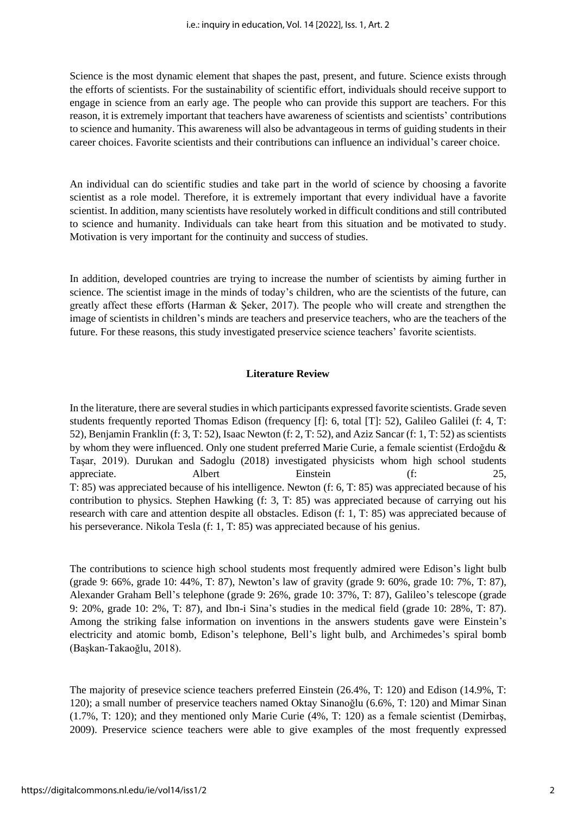Science is the most dynamic element that shapes the past, present, and future. Science exists through the efforts of scientists. For the sustainability of scientific effort, individuals should receive support to engage in science from an early age. The people who can provide this support are teachers. For this reason, it is extremely important that teachers have awareness of scientists and scientists' contributions to science and humanity. This awareness will also be advantageous in terms of guiding students in their career choices. Favorite scientists and their contributions can influence an individual's career choice.

An individual can do scientific studies and take part in the world of science by choosing a favorite scientist as a role model. Therefore, it is extremely important that every individual have a favorite scientist. In addition, many scientists have resolutely worked in difficult conditions and still contributed to science and humanity. Individuals can take heart from this situation and be motivated to study. Motivation is very important for the continuity and success of studies.

In addition, developed countries are trying to increase the number of scientists by aiming further in science. The scientist image in the minds of today's children, who are the scientists of the future, can greatly affect these efforts (Harman & Şeker, 2017). The people who will create and strengthen the image of scientists in children's minds are teachers and preservice teachers, who are the teachers of the future. For these reasons, this study investigated preservice science teachers' favorite scientists.

#### **Literature Review**

In the literature, there are several studies in which participants expressed favorite scientists. Grade seven students frequently reported Thomas Edison (frequency [f]: 6, total [T]: 52), Galileo Galilei (f: 4, T: 52), Benjamin Franklin (f: 3, T: 52), Isaac Newton (f: 2, T: 52), and Aziz Sancar (f: 1, T: 52) as scientists by whom they were influenced. Only one student preferred Marie Curie, a female scientist (Erdoğdu & Taşar, 2019). Durukan and Sadoglu (2018) investigated physicists whom high school students appreciate. Albert Einstein (f: 25, T: 85) was appreciated because of his intelligence. Newton (f: 6, T: 85) was appreciated because of his contribution to physics. Stephen Hawking (f: 3, T: 85) was appreciated because of carrying out his research with care and attention despite all obstacles. Edison (f: 1, T: 85) was appreciated because of his perseverance. Nikola Tesla (f: 1, T: 85) was appreciated because of his genius.

The contributions to science high school students most frequently admired were Edison's light bulb (grade 9: 66%, grade 10: 44%, T: 87), Newton's law of gravity (grade 9: 60%, grade 10: 7%, T: 87), Alexander Graham Bell's telephone (grade 9: 26%, grade 10: 37%, T: 87), Galileo's telescope (grade 9: 20%, grade 10: 2%, T: 87), and Ibn-i Sina's studies in the medical field (grade 10: 28%, T: 87). Among the striking false information on inventions in the answers students gave were Einstein's electricity and atomic bomb, Edison's telephone, Bell's light bulb, and Archimedes's spiral bomb (Başkan-Takaoğlu, 2018).

The majority of presevice science teachers preferred Einstein (26.4%, T: 120) and Edison (14.9%, T: 120); a small number of preservice teachers named Oktay Sinanoğlu (6.6%, T: 120) and Mimar Sinan (1.7%, T: 120); and they mentioned only Marie Curie (4%, T: 120) as a female scientist (Demirbaş, 2009). Preservice science teachers were able to give examples of the most frequently expressed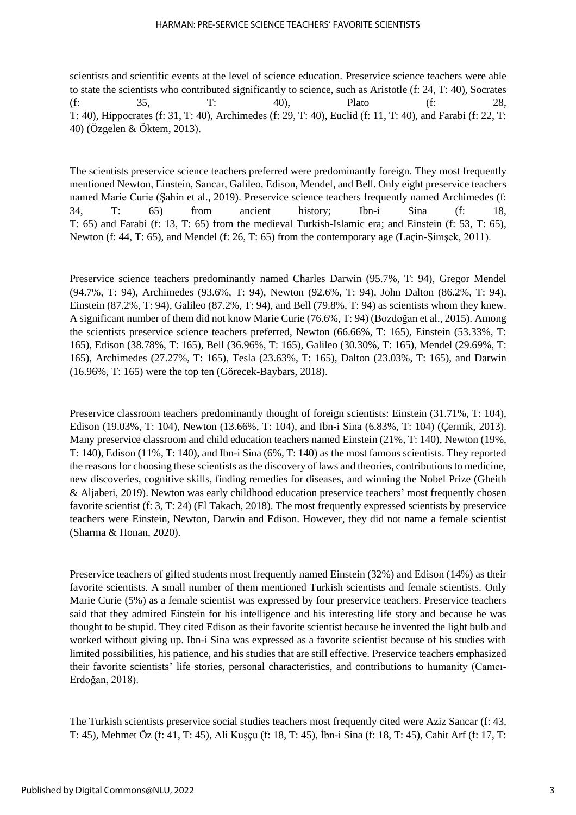#### HARMAN: PRE-SERVICE SCIENCE TEACHERS' FAVORITE SCIENTISTS

scientists and scientific events at the level of science education. Preservice science teachers were able to state the scientists who contributed significantly to science, such as Aristotle (f: 24, T: 40), Socrates (f: 35, T: 40), Plato (f: 28, T: 40), Hippocrates (f: 31, T: 40), Archimedes (f: 29, T: 40), Euclid (f: 11, T: 40), and Farabi (f: 22, T: 40) (Özgelen & Öktem, 2013).

The scientists preservice science teachers preferred were predominantly foreign. They most frequently mentioned Newton, Einstein, Sancar, Galileo, Edison, Mendel, and Bell. Only eight preservice teachers named Marie Curie (Şahin et al., 2019). Preservice science teachers frequently named Archimedes (f: 34, T: 65) from ancient history; Ibn-i Sina (f: 18, T: 65) and Farabi (f: 13, T: 65) from the medieval Turkish-Islamic era; and Einstein (f: 53, T: 65), Newton (f: 44, T: 65), and Mendel (f: 26, T: 65) from the contemporary age (Laçin-Şimşek, 2011).

Preservice science teachers predominantly named Charles Darwin (95.7%, T: 94), Gregor Mendel (94.7%, T: 94), Archimedes (93.6%, T: 94), Newton (92.6%, T: 94), John Dalton (86.2%, T: 94), Einstein (87.2%, T: 94), Galileo (87.2%, T: 94), and Bell (79.8%, T: 94) as scientists whom they knew. A significant number of them did not know Marie Curie (76.6%, T: 94) (Bozdoğan et al., 2015). Among the scientists preservice science teachers preferred, Newton (66.66%, T: 165), Einstein (53.33%, T: 165), Edison (38.78%, T: 165), Bell (36.96%, T: 165), Galileo (30.30%, T: 165), Mendel (29.69%, T: 165), Archimedes (27.27%, T: 165), Tesla (23.63%, T: 165), Dalton (23.03%, T: 165), and Darwin (16.96%, T: 165) were the top ten (Görecek-Baybars, 2018).

Preservice classroom teachers predominantly thought of foreign scientists: Einstein (31.71%, T: 104), Edison (19.03%, T: 104), Newton (13.66%, T: 104), and Ibn-i Sina (6.83%, T: 104) (Çermik, 2013). Many preservice classroom and child education teachers named Einstein (21%, T: 140), Newton (19%, T: 140), Edison (11%, T: 140), and Ibn-i Sina (6%, T: 140) as the most famous scientists. They reported the reasons for choosing these scientists as the discovery of laws and theories, contributions to medicine, new discoveries, cognitive skills, finding remedies for diseases, and winning the Nobel Prize (Gheith & Aljaberi, 2019). Newton was early childhood education preservice teachers' most frequently chosen favorite scientist (f: 3, T: 24) (El Takach, 2018). The most frequently expressed scientists by preservice teachers were Einstein, Newton, Darwin and Edison. However, they did not name a female scientist (Sharma & Honan, 2020).

Preservice teachers of gifted students most frequently named Einstein (32%) and Edison (14%) as their favorite scientists. A small number of them mentioned Turkish scientists and female scientists. Only Marie Curie (5%) as a female scientist was expressed by four preservice teachers. Preservice teachers said that they admired Einstein for his intelligence and his interesting life story and because he was thought to be stupid. They cited Edison as their favorite scientist because he invented the light bulb and worked without giving up. Ibn-i Sina was expressed as a favorite scientist because of his studies with limited possibilities, his patience, and his studies that are still effective. Preservice teachers emphasized their favorite scientists' life stories, personal characteristics, and contributions to humanity (Camcı-Erdoğan, 2018).

The Turkish scientists preservice social studies teachers most frequently cited were Aziz Sancar (f: 43, T: 45), Mehmet Öz (f: 41, T: 45), Ali Kuşçu (f: 18, T: 45), İbn-i Sina (f: 18, T: 45), Cahit Arf (f: 17, T: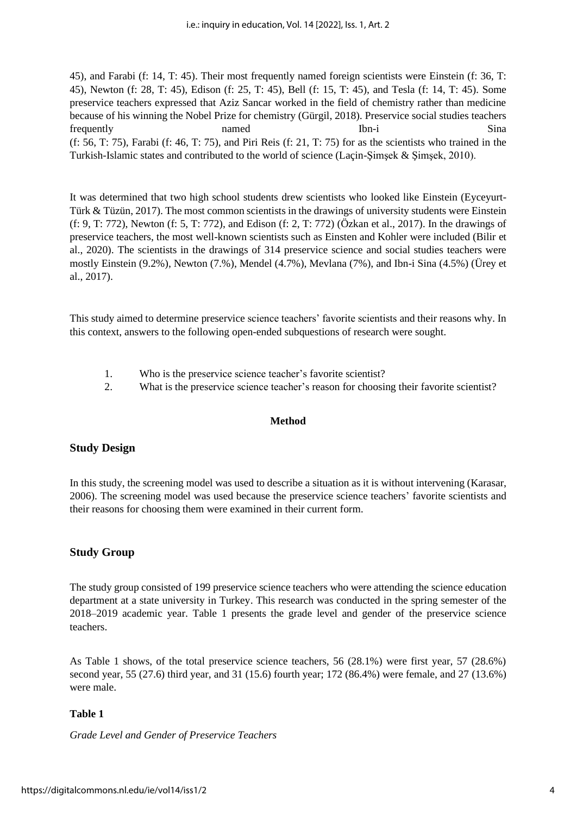45), and Farabi (f: 14, T: 45). Their most frequently named foreign scientists were Einstein (f: 36, T: 45), Newton (f: 28, T: 45), Edison (f: 25, T: 45), Bell (f: 15, T: 45), and Tesla (f: 14, T: 45). Some preservice teachers expressed that Aziz Sancar worked in the field of chemistry rather than medicine because of his winning the Nobel Prize for chemistry (Gürgil, 2018). Preservice social studies teachers frequently **named** Ibn-i Sina (f: 56, T: 75), Farabi (f: 46, T: 75), and Piri Reis (f: 21, T: 75) for as the scientists who trained in the Turkish-Islamic states and contributed to the world of science (Laçin-Şimşek & Şimşek, 2010).

It was determined that two high school students drew scientists who looked like Einstein (Eyceyurt-Türk & Tüzün, 2017). The most common scientists in the drawings of university students were Einstein (f: 9, T: 772), Newton (f: 5, T: 772), and Edison (f: 2, T: 772) (Özkan et al., 2017). In the drawings of preservice teachers, the most well-known scientists such as Einsten and Kohler were included (Bilir et al., 2020). The scientists in the drawings of 314 preservice science and social studies teachers were mostly Einstein (9.2%), Newton (7.%), Mendel (4.7%), Mevlana (7%), and Ibn-i Sina (4.5%) (Ürey et al., 2017).

This study aimed to determine preservice science teachers' favorite scientists and their reasons why. In this context, answers to the following open-ended subquestions of research were sought.

- 1. Who is the preservice science teacher's favorite scientist?
- 2. What is the preservice science teacher's reason for choosing their favorite scientist?

#### **Method**

## **Study Design**

In this study, the screening model was used to describe a situation as it is without intervening (Karasar, 2006). The screening model was used because the preservice science teachers' favorite scientists and their reasons for choosing them were examined in their current form.

## **Study Group**

The study group consisted of 199 preservice science teachers who were attending the science education department at a state university in Turkey. This research was conducted in the spring semester of the 2018–2019 academic year. Table 1 presents the grade level and gender of the preservice science teachers.

As Table 1 shows, of the total preservice science teachers, 56 (28.1%) were first year, 57 (28.6%) second year, 55 (27.6) third year, and 31 (15.6) fourth year; 172 (86.4%) were female, and 27 (13.6%) were male.

## **Table 1**

*Grade Level and Gender of Preservice Teachers*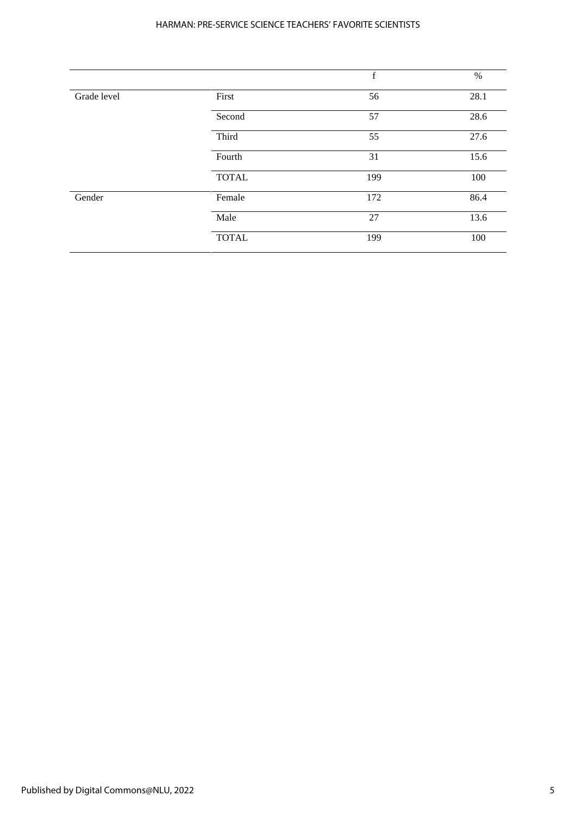#### HARMAN: PRE-SERVICE SCIENCE TEACHERS' FAVORITE SCIENTISTS

|             |              | $\mathbf f$ | $\%$ |
|-------------|--------------|-------------|------|
| Grade level | First        | 56          | 28.1 |
|             | Second       | 57          | 28.6 |
|             | Third        | 55          | 27.6 |
|             | Fourth       | 31          | 15.6 |
|             | <b>TOTAL</b> | 199         | 100  |
| Gender      | Female       | 172         | 86.4 |
|             | Male         | 27          | 13.6 |
|             | <b>TOTAL</b> | 199         | 100  |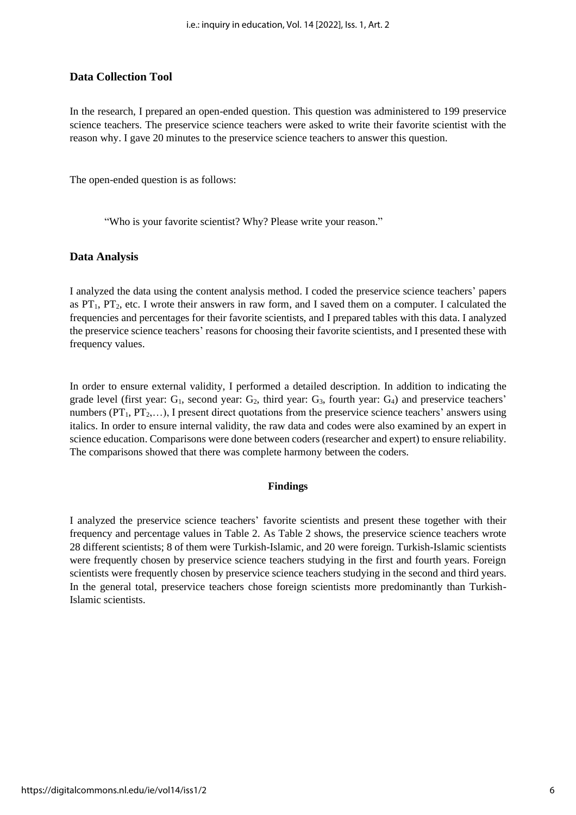#### **Data Collection Tool**

In the research, I prepared an open-ended question. This question was administered to 199 preservice science teachers. The preservice science teachers were asked to write their favorite scientist with the reason why. I gave 20 minutes to the preservice science teachers to answer this question.

The open-ended question is as follows:

"Who is your favorite scientist? Why? Please write your reason."

#### **Data Analysis**

I analyzed the data using the content analysis method. I coded the preservice science teachers' papers as  $PT_1$ ,  $PT_2$ , etc. I wrote their answers in raw form, and I saved them on a computer. I calculated the frequencies and percentages for their favorite scientists, and I prepared tables with this data. I analyzed the preservice science teachers' reasons for choosing their favorite scientists, and I presented these with frequency values.

In order to ensure external validity, I performed a detailed description. In addition to indicating the grade level (first year:  $G_1$ , second year:  $G_2$ , third year:  $G_3$ , fourth year:  $G_4$ ) and preservice teachers' numbers ( $PT_1, PT_2,...$ ), I present direct quotations from the preservice science teachers' answers using italics. In order to ensure internal validity, the raw data and codes were also examined by an expert in science education. Comparisons were done between coders (researcher and expert) to ensure reliability. The comparisons showed that there was complete harmony between the coders.

#### **Findings**

I analyzed the preservice science teachers' favorite scientists and present these together with their frequency and percentage values in Table 2. As Table 2 shows, the preservice science teachers wrote 28 different scientists; 8 of them were Turkish-Islamic, and 20 were foreign. Turkish-Islamic scientists were frequently chosen by preservice science teachers studying in the first and fourth years. Foreign scientists were frequently chosen by preservice science teachers studying in the second and third years. In the general total, preservice teachers chose foreign scientists more predominantly than Turkish-Islamic scientists.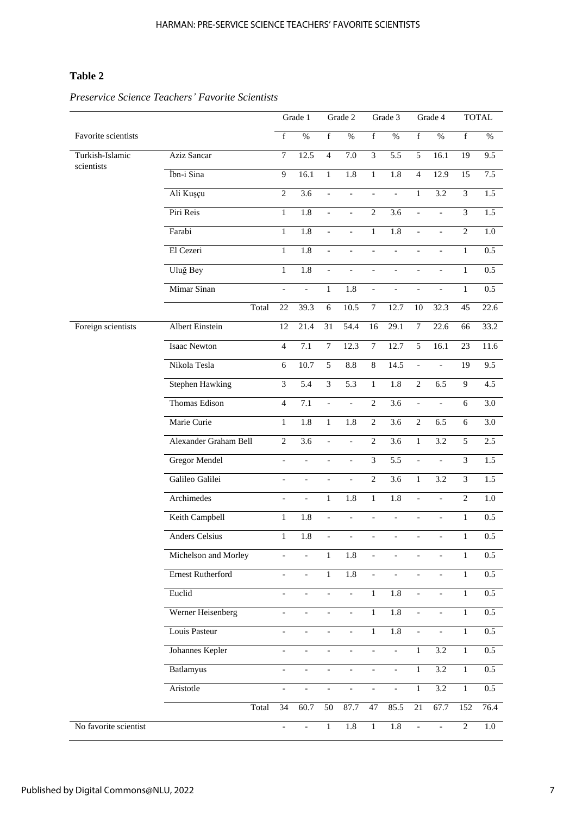# **Table 2**

|                       |                        |                | Grade 1          |                          | Grade 2                  |                          | Grade 3                  |                          | Grade 4                  |                | <b>TOTAL</b>     |
|-----------------------|------------------------|----------------|------------------|--------------------------|--------------------------|--------------------------|--------------------------|--------------------------|--------------------------|----------------|------------------|
| Favorite scientists   |                        | $\mathbf f$    | $\%$             | $\mathbf f$              | $\%$                     | $\mathbf f$              | $\%$                     | $\mathbf f$              | $\%$                     | $\mathbf f$    | $\%$             |
| Turkish-Islamic       | Aziz Sancar            | $\tau$         | 12.5             | $\overline{4}$           | 7.0                      | $\mathfrak{Z}$           | 5.5                      | 5                        | 16.1                     | 19             | 9.5              |
| scientists            | İbn-i Sina             | 9              | 16.1             | $\mathbf{1}$             | $\overline{1.8}$         | $\mathbf{1}$             | 1.8                      | $\overline{4}$           | 12.9                     | 15             | 7.5              |
|                       | Ali Kuşçu              | $\overline{2}$ | 3.6              | $\overline{a}$           | $\frac{1}{2}$            | $\overline{\phantom{0}}$ | $\overline{a}$           | $\,1$                    | 3.2                      | $\mathfrak{Z}$ | 1.5              |
|                       | Piri Reis              | $\mathbf{1}$   | $\overline{1.8}$ | $\overline{\phantom{m}}$ | $\overline{a}$           | $\overline{2}$           | 3.6                      | $\blacksquare$           | $\overline{a}$           | $\mathfrak{Z}$ | 1.5              |
|                       | Farabi                 | $\mathbf{1}$   | $\overline{1.8}$ | $\overline{a}$           | $\overline{a}$           | $\mathbf{1}$             | 1.8                      | $\frac{1}{2}$            | $\overline{a}$           | $\overline{2}$ | 1.0              |
|                       | El Cezeri              | $\mathbf{1}$   | 1.8              |                          |                          | $\overline{a}$           |                          | $\overline{a}$           | $\overline{a}$           | $\mathbf{1}$   | 0.5              |
|                       | Uluğ Bey               | $\mathbf{1}$   | 1.8              | $\blacksquare$           | $\overline{a}$           | $\overline{\phantom{a}}$ | $\overline{\phantom{m}}$ | $\overline{\phantom{a}}$ | $\overline{\phantom{m}}$ | $\mathbf{1}$   | 0.5              |
|                       | Mimar Sinan            | $\overline{a}$ | $\overline{a}$   | $\mathbf{1}$             | 1.8                      | $\Box$                   | $\overline{a}$           | $\overline{\phantom{a}}$ | $\overline{a}$           | $\mathbf{1}$   | 0.5              |
|                       | Total                  | 22             | 39.3             | $6\,$                    | 10.5                     | $\tau$                   | 12.7                     | 10                       | 32.3                     | 45             | 22.6             |
| Foreign scientists    | Albert Einstein        | 12             | 21.4             | 31                       | 54.4                     | 16                       | 29.1                     | $\tau$                   | 22.6                     | 66             | 33.2             |
|                       | <b>Isaac Newton</b>    | $\overline{4}$ | $\overline{7.1}$ | $\boldsymbol{7}$         | 12.3                     | $\overline{7}$           | 12.7                     | $\sqrt{5}$               | 16.1                     | 23             | 11.6             |
|                       | Nikola Tesla           | 6              | 10.7             | 5                        | 8.8                      | $\,8\,$                  | 14.5                     | $\frac{1}{2}$            | $\overline{a}$           | 19             | 9.5              |
|                       | <b>Stephen Hawking</b> | 3              | $\overline{5.4}$ | $\overline{\mathbf{3}}$  | $\overline{5.3}$         | $\mathbf{1}$             | 1.8                      | $\overline{2}$           | 6.5                      | 9              | 4.5              |
|                       | Thomas Edison          | $\overline{4}$ | 7.1              | $\overline{\phantom{m}}$ | $\overline{\phantom{a}}$ | $\overline{2}$           | 3.6                      | $\Box$                   | $\overline{a}$           | 6              | 3.0              |
|                       | Marie Curie            | $\mathbf{1}$   | $\overline{1.8}$ | $\mathbf{1}$             | 1.8                      | $\overline{2}$           | $\overline{3.6}$         | $\overline{2}$           | 6.5                      | $6\,$          | 3.0              |
|                       | Alexander Graham Bell  | $\overline{2}$ | 3.6              | $\frac{1}{2}$            |                          | $\overline{2}$           | $\overline{3.6}$         | $\,1$                    | 3.2                      | 5              | 2.5              |
|                       | <b>Gregor Mendel</b>   | $\overline{a}$ | $\overline{a}$   | $\overline{a}$           | $\overline{a}$           | $\overline{3}$           | 5.5                      | $\overline{\phantom{a}}$ | $\overline{a}$           | 3              | 1.5              |
|                       | Galileo Galilei        | $\overline{a}$ | $\overline{a}$   | $\overline{a}$           | $\blacksquare$           | 2                        | 3.6                      | $\mathbf{1}$             | 3.2                      | 3              | 1.5              |
|                       | Archimedes             | $\overline{a}$ | $\overline{a}$   | $\mathbf{1}$             | 1.8                      | $\mathbf{1}$             | 1.8                      | $\frac{1}{2}$            | $\overline{a}$           | $\overline{2}$ | $1.0\,$          |
|                       | Keith Campbell         | $\mathbf{1}$   | 1.8              |                          |                          |                          |                          | $\overline{a}$           | $\overline{a}$           | $\mathbf{1}$   | $0.5\,$          |
|                       | <b>Anders Celsius</b>  | $\mathbf{1}$   | $\overline{1.8}$ | $\overline{\phantom{0}}$ | $\blacksquare$           | $\overline{\phantom{0}}$ | $\overline{a}$           | $\frac{1}{2}$            | $\overline{a}$           | $\mathbf{1}$   | $0.5\,$          |
|                       | Michelson and Morley   |                |                  | $\mathbf{1}$             | 1.8                      |                          |                          |                          |                          | 1              | $0.5\,$          |
|                       | Ernest Rutherford      |                |                  | $\overline{1}$           | 1.8                      | $\frac{1}{2}$            |                          |                          |                          | $\mathbf{1}$   | $\overline{0.5}$ |
|                       | Euclid                 |                |                  |                          | $\overline{a}$           | $\mathbf{1}$             | 1.8                      | $\overline{a}$           |                          | $\mathbf{1}$   | $0.5\,$          |
|                       | Werner Heisenberg      |                |                  |                          | $\overline{\phantom{a}}$ | $\mathbf{1}$             | 1.8                      | $\blacksquare$           | $\qquad \qquad -$        | $\mathbf{1}$   | $0.5\,$          |
|                       | Louis Pasteur          | $\overline{a}$ |                  |                          | $\overline{\phantom{a}}$ | $\mathbf{1}$             | $1.8\,$                  | $\overline{\phantom{a}}$ | $\overline{a}$           | $\mathbf{1}$   | $0.5\,$          |
|                       | Johannes Kepler        |                |                  |                          |                          |                          | $\overline{a}$           | $\mathbf{1}$             | 3.2                      | $\mathbf{1}$   | 0.5              |
|                       | Batlamyus              |                |                  |                          |                          | $\overline{a}$           | $\overline{\phantom{0}}$ | $\mathbf{1}$             | 3.2                      | $\mathbf{1}$   | $0.5\,$          |
|                       | Aristotle              | $\overline{a}$ |                  |                          |                          | $\overline{\phantom{a}}$ | $\overline{\phantom{0}}$ | $\mathbf{1}$             | 3.2                      | $\,1\,$        | $0.5\,$          |
|                       | Total                  | 34             | 60.7             | 50                       | 87.7                     | $47\,$                   | 85.5                     | 21                       | 67.7                     | 152            | 76.4             |
| No favorite scientist |                        | $\frac{1}{2}$  | $\overline{a}$   | $\mathbf{1}$             | 1.8                      | $\mathbf{1}$             | 1.8                      | $\overline{a}$           | $\overline{a}$           | $\mathbf{2}$   | 1.0              |

# *Preservice Science Teachers' Favorite Scientists*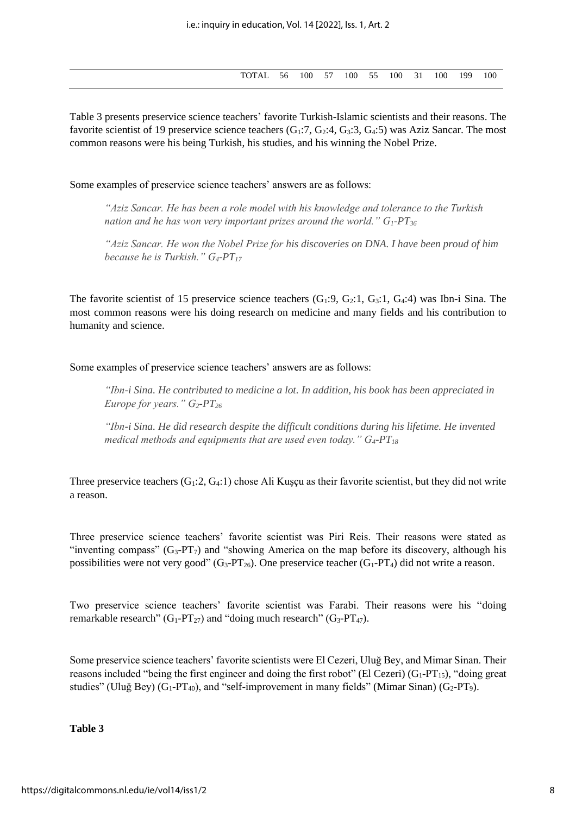| TOTAL 56 100 57 100 55 100 31 100 1 |  |  |  |  | 199 | 100 |
|-------------------------------------|--|--|--|--|-----|-----|
|                                     |  |  |  |  |     |     |

Table 3 presents preservice science teachers' favorite Turkish-Islamic scientists and their reasons. The favorite scientist of 19 preservice science teachers  $(G_1:7, G_2:4, G_3:3, G_4:5)$  was Aziz Sancar. The most common reasons were his being Turkish, his studies, and his winning the Nobel Prize.

Some examples of preservice science teachers' answers are as follows:

*"Aziz Sancar. He has been a role model with his knowledge and tolerance to the Turkish nation and he has won very important prizes around the world." G1-PT<sup>36</sup>*

*"Aziz Sancar. He won the Nobel Prize for his discoveries on DNA. I have been proud of him because he is Turkish." G4-PT<sup>17</sup>*

The favorite scientist of 15 preservice science teachers  $(G_1:9, G_2:1, G_3:1, G_4:4)$  was Ibn-i Sina. The most common reasons were his doing research on medicine and many fields and his contribution to humanity and science.

Some examples of preservice science teachers' answers are as follows:

*"Ibn-i Sina. He contributed to medicine a lot. In addition, his book has been appreciated in Europe for years." G2-PT<sup>26</sup>*

*"Ibn-i Sina. He did research despite the difficult conditions during his lifetime. He invented medical methods and equipments that are used even today." G4-PT<sup>18</sup>*

Three preservice teachers  $(G_1:2, G_4:1)$  chose Ali Kuşçu as their favorite scientist, but they did not write a reason.

Three preservice science teachers' favorite scientist was Piri Reis. Their reasons were stated as "inventing compass"  $(G_3-PT_7)$  and "showing America on the map before its discovery, although his possibilities were not very good"  $(G_3-PT_{26})$ . One preservice teacher  $(G_1-PT_4)$  did not write a reason.

Two preservice science teachers' favorite scientist was Farabi. Their reasons were his "doing remarkable research" (G<sub>1</sub>-PT<sub>27</sub>) and "doing much research" (G<sub>3</sub>-PT<sub>47</sub>).

Some preservice science teachers' favorite scientists were El Cezeri, Uluğ Bey, and Mimar Sinan. Their reasons included "being the first engineer and doing the first robot" (El Cezeri)  $(G_1-PT_{15})$ , "doing great" studies" (Uluğ Bey)  $(G_1-PT_{40})$ , and "self-improvement in many fields" (Mimar Sinan)  $(G_2-PT_9)$ .

**Table 3**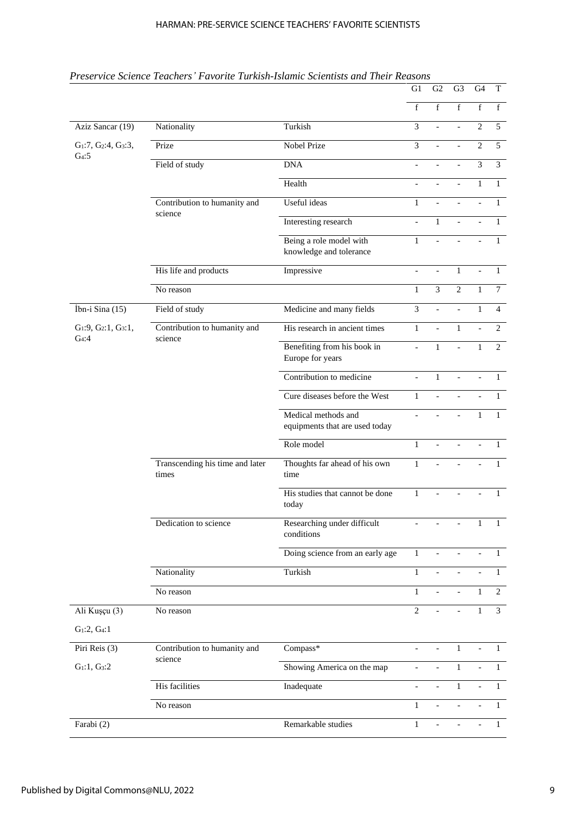|                                             | Preservice Science Teachers' Favorite Turkish-Islamic Scientists and Their Reasons |                                                       | G1                       | G2                       | G <sub>3</sub>            | G <sub>4</sub>           | $\mathbf T$    |
|---------------------------------------------|------------------------------------------------------------------------------------|-------------------------------------------------------|--------------------------|--------------------------|---------------------------|--------------------------|----------------|
|                                             |                                                                                    |                                                       | f                        | $\overline{f}$           | $\overline{f}$            | $\overline{f}$           | f              |
| Aziz Sancar (19)                            | Nationality                                                                        | Turkish                                               | 3                        | $\overline{a}$           | $\overline{a}$            | $\mathbf{2}$             | 5              |
| $G_1$ :7, $G_2$ :4, $G_3$ :3,               | Prize                                                                              | Nobel Prize                                           | 3                        |                          | $\overline{a}$            | $\overline{c}$           | 5              |
| G <sub>4</sub> :5                           | Field of study                                                                     | <b>DNA</b>                                            | $\overline{a}$           |                          |                           | $\overline{\mathbf{3}}$  | $\overline{3}$ |
|                                             |                                                                                    | Health                                                |                          |                          |                           | $\mathbf{1}$             | $\mathbf{1}$   |
|                                             | Contribution to humanity and                                                       | Useful ideas                                          | $\mathbf{1}$             |                          |                           |                          | 1              |
|                                             | science                                                                            | Interesting research                                  | $\overline{a}$           | $\mathbf{1}$             | $\overline{a}$            |                          | $\mathbf{1}$   |
|                                             |                                                                                    | Being a role model with<br>knowledge and tolerance    | $\mathbf{1}$             |                          |                           |                          | $\mathbf{1}$   |
|                                             | His life and products                                                              | Impressive                                            | $\overline{a}$           |                          | $\mathbf{1}$              |                          | $\mathbf{1}$   |
|                                             | No reason                                                                          |                                                       | $\mathbf{1}$             | 3                        | $\overline{2}$            | $\mathbf{1}$             | $\tau$         |
| İbn-i Sina (15)                             | Field of study                                                                     | Medicine and many fields                              | 3                        | $\overline{a}$           | $\overline{a}$            | $\mathbf{1}$             | $\overline{4}$ |
| $G_1:9, G_2:1, G_3:1,$<br>G <sub>4</sub> :4 | Contribution to humanity and                                                       | His research in ancient times                         | $\mathbf{1}$             |                          | $\mathbf{1}$              |                          | $\overline{2}$ |
|                                             | science                                                                            | Benefiting from his book in<br>Europe for years       |                          | $\mathbf{1}$             | $\overline{\phantom{a}}$  | 1                        | 2              |
|                                             |                                                                                    | Contribution to medicine                              |                          | $\mathbf{1}$             |                           |                          | 1              |
|                                             |                                                                                    | Cure diseases before the West                         | $\mathbf{1}$             |                          |                           |                          | 1              |
|                                             |                                                                                    | Medical methods and<br>equipments that are used today |                          |                          |                           | $\mathbf{1}$             | $\mathbf{1}$   |
|                                             |                                                                                    | Role model                                            | $\mathbf{1}$             |                          |                           |                          | $\mathbf{1}$   |
|                                             | Transcending his time and later<br>times                                           | Thoughts far ahead of his own<br>time                 | $\mathbf{1}$             |                          |                           |                          | $\mathbf{1}$   |
|                                             |                                                                                    | His studies that cannot be done<br>today              | $\mathbf{1}$             | $\overline{a}$           | $\blacksquare$            | $\overline{\phantom{0}}$ | $\mathbf{1}$   |
|                                             | Dedication to science                                                              | Researching under difficult<br>conditions             |                          |                          |                           | 1                        | $\mathbf{1}$   |
|                                             |                                                                                    | Doing science from an early age                       | $\mathbf{1}$             | $\equiv$                 | $\mathbb{L}$              |                          | $\mathbf{1}$   |
|                                             | Nationality                                                                        | Turkish                                               | $\mathbf{1}$             |                          |                           |                          | $\mathbf{1}$   |
|                                             | No reason                                                                          |                                                       | $\mathbf{1}$             | $\overline{a}$           | $\sim$                    | $\mathbf{1}$             | $\mathbf{2}$   |
| Ali Kuşçu (3)                               | No reason                                                                          |                                                       | $\overline{2}$           |                          | $\bar{\phantom{a}}$       | $\mathbf{1}$             | $\overline{3}$ |
| $G_1:2, G_4:1$                              |                                                                                    |                                                       |                          |                          |                           |                          |                |
| Piri Reis (3)                               | Contribution to humanity and                                                       | Compass*                                              |                          |                          | $\mathbf{1}$              |                          | $\mathbf{1}$   |
| $G_1:1, G_3:2$                              | science                                                                            | Showing America on the map                            | $\overline{\phantom{a}}$ | $\overline{\phantom{0}}$ | $\mathbf{1}$              |                          | $\mathbf{1}$   |
|                                             | His facilities                                                                     | Inadequate                                            | $\equiv$                 |                          | $\mathbf{1}$              |                          | $\mathbf{1}$   |
|                                             | No reason                                                                          |                                                       | $\mathbf{1}$             | $\mathbf{r}$             | $\mathbb{L}^{\mathbb{N}}$ | $\overline{a}$           | $\mathbf{1}$   |
| Farabi (2)                                  |                                                                                    | Remarkable studies                                    | $\mathbf{1}$             | $\overline{a}$           | $\mathbf{r}$              |                          | $\mathbf{1}$   |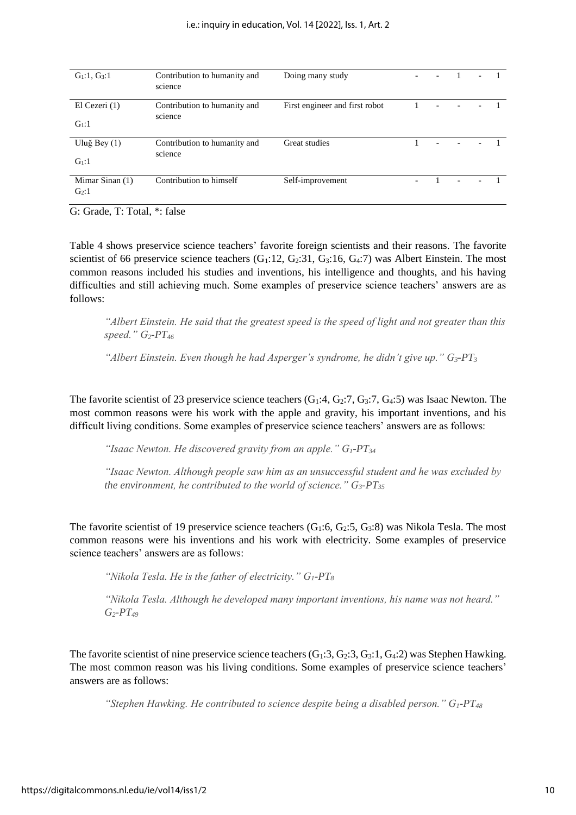| $G_1:1, G_3:1$                       | Contribution to humanity and<br>science | Doing many study               | $\overline{\phantom{a}}$ |  |  |
|--------------------------------------|-----------------------------------------|--------------------------------|--------------------------|--|--|
| El Cezeri $(1)$<br>G <sub>1</sub> :1 | Contribution to humanity and<br>science | First engineer and first robot |                          |  |  |
| Uluğ Bey $(1)$<br>$G_1:1$            | Contribution to humanity and<br>science | Great studies                  |                          |  |  |
| Mimar Sinan $(1)$<br>$G_2:1$         | Contribution to himself                 | Self-improvement               | $\overline{a}$           |  |  |

G: Grade, T: Total, \*: false

Table 4 shows preservice science teachers' favorite foreign scientists and their reasons. The favorite scientist of 66 preservice science teachers  $(G_1:12, G_2:31, G_3:16, G_4:7)$  was Albert Einstein. The most common reasons included his studies and inventions, his intelligence and thoughts, and his having difficulties and still achieving much. Some examples of preservice science teachers' answers are as follows:

*"Albert Einstein. He said that the greatest speed is the speed of light and not greater than this speed." G2-PT<sup>46</sup>*

"Albert Einstein. Even though he had Asperger's syndrome, he didn't give up."  $G_3$ -PT<sub>3</sub>

The favorite scientist of 23 preservice science teachers  $(G_1:4, G_2:7, G_3:7, G_4:5)$  was Isaac Newton. The most common reasons were his work with the apple and gravity, his important inventions, and his difficult living conditions. Some examples of preservice science teachers' answers are as follows:

*"Isaac Newton. He discovered gravity from an apple." G1-PT<sup>34</sup>*

*"Isaac Newton. Although people saw him as an unsuccessful student and he was excluded by the environment, he contributed to the world of science." G3-PT<sup>35</sup>*

The favorite scientist of 19 preservice science teachers  $(G_1:6, G_2:5, G_3:8)$  was Nikola Tesla. The most common reasons were his inventions and his work with electricity. Some examples of preservice science teachers' answers are as follows:

*"Nikola Tesla. He is the father of electricity." G1-PT<sup>8</sup>*

*"Nikola Tesla. Although he developed many important inventions, his name was not heard." G2-PT<sup>49</sup>*

The favorite scientist of nine preservice science teachers  $(G_1:3, G_2:3, G_3:1, G_4:2)$  was Stephen Hawking. The most common reason was his living conditions. Some examples of preservice science teachers' answers are as follows:

*"Stephen Hawking. He contributed to science despite being a disabled person." G1-PT<sup>48</sup>*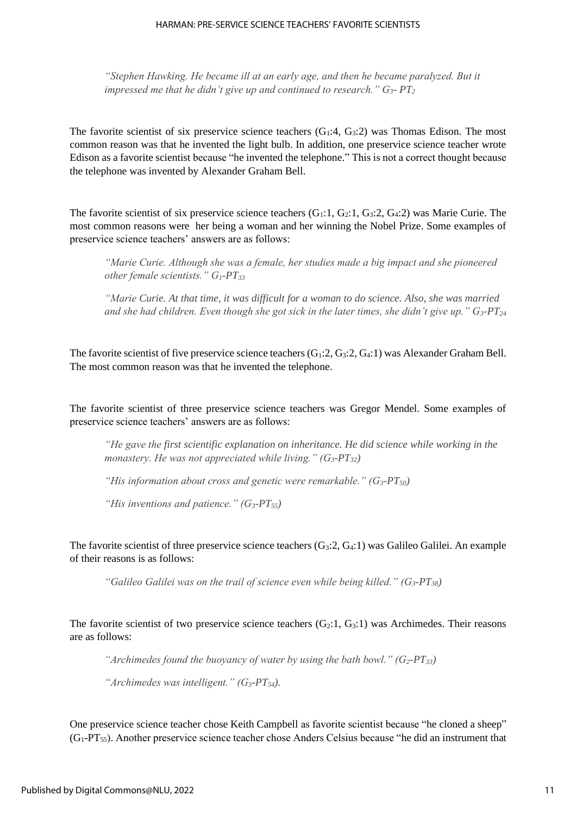*"Stephen Hawking. He became ill at an early age, and then he became paralyzed. But it impressed me that he didn't give up and continued to research." G3- PT<sup>2</sup>*

The favorite scientist of six preservice science teachers  $(G_1:4, G_3:2)$  was Thomas Edison. The most common reason was that he invented the light bulb. In addition, one preservice science teacher wrote Edison as a favorite scientist because "he invented the telephone." This is not a correct thought because the telephone was invented by Alexander Graham Bell.

The favorite scientist of six preservice science teachers  $(G_1:1, G_2:1, G_3:2, G_4:2)$  was Marie Curie. The most common reasons were her being a woman and her winning the Nobel Prize. Some examples of preservice science teachers' answers are as follows:

*"Marie Curie. Although she was a female, her studies made a big impact and she pioneered other female scientists." G1-PT<sup>33</sup>*

*"Marie Curie. At that time, it was difficult for a woman to do science. Also, she was married and she had children. Even though she got sick in the later times, she didn't give up." G3-PT<sup>24</sup>*

The favorite scientist of five preservice science teachers  $(G_1:2, G_3:2, G_4:1)$  was Alexander Graham Bell. The most common reason was that he invented the telephone.

The favorite scientist of three preservice science teachers was Gregor Mendel. Some examples of preservice science teachers' answers are as follows:

*"He gave the first scientific explanation on inheritance. He did science while working in the monastery. He was not appreciated while living." (G3-PT32)*

*"His information about cross and genetic were remarkable." (G3-PT50)*

*"His inventions and patience." (G3-PT55)*

The favorite scientist of three preservice science teachers  $(G_3:2, G_4:1)$  was Galileo Galilei. An example of their reasons is as follows:

*"Galileo Galilei was on the trail of science even while being killed." (G3-PT38)*

The favorite scientist of two preservice science teachers  $(G_2:1, G_3:1)$  was Archimedes. Their reasons are as follows:

*"Archimedes found the buoyancy of water by using the bath bowl." (G2-PT33)*

*"Archimedes was intelligent." (G3-PT54).* 

One preservice science teacher chose Keith Campbell as favorite scientist because "he cloned a sheep" (G1-PT55). Another preservice science teacher chose Anders Celsius because "he did an instrument that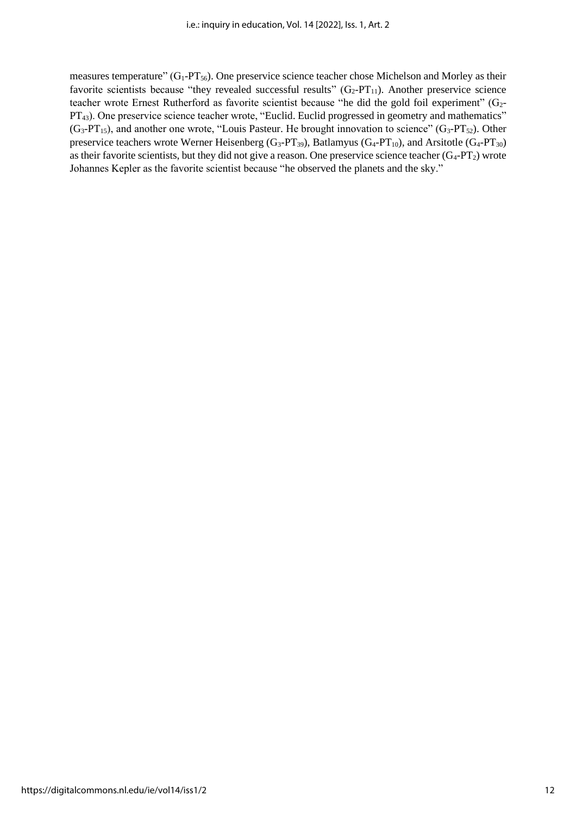measures temperature" (G<sub>1</sub>-PT<sub>56</sub>). One preservice science teacher chose Michelson and Morley as their favorite scientists because "they revealed successful results"  $(G_2-PT_{11})$ . Another preservice science teacher wrote Ernest Rutherford as favorite scientist because "he did the gold foil experiment" (G<sub>2</sub>-PT<sub>43</sub>). One preservice science teacher wrote, "Euclid. Euclid progressed in geometry and mathematics"  $(G_3-PT_{15})$ , and another one wrote, "Louis Pasteur. He brought innovation to science"  $(G_3-PT_{52})$ . Other preservice teachers wrote Werner Heisenberg (G<sub>3</sub>-PT<sub>39</sub>), Batlamyus (G<sub>4</sub>-PT<sub>10</sub>), and Arsitotle (G<sub>4</sub>-PT<sub>30</sub>) as their favorite scientists, but they did not give a reason. One preservice science teacher  $(G_4-PT_2)$  wrote Johannes Kepler as the favorite scientist because "he observed the planets and the sky."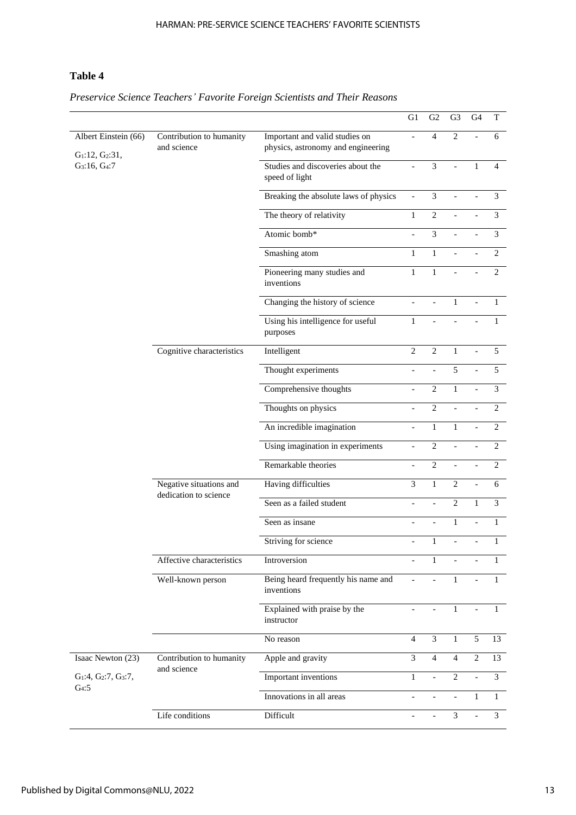# **Table 4**

|                                               |                                                  |                                                                      | G1                       | G2                       | G <sub>3</sub> | G <sub>4</sub>           | T              |
|-----------------------------------------------|--------------------------------------------------|----------------------------------------------------------------------|--------------------------|--------------------------|----------------|--------------------------|----------------|
| Albert Einstein (66)<br>$G_1$ :12, $G_2$ :31, | Contribution to humanity<br>and science          | Important and valid studies on<br>physics, astronomy and engineering |                          | $\overline{4}$           | $\overline{c}$ |                          | 6              |
| G <sub>3</sub> :16, G <sub>4</sub> :7         |                                                  | Studies and discoveries about the<br>speed of light                  | $\overline{\phantom{a}}$ | $\overline{\mathbf{3}}$  |                | $\mathbf{1}$             | 4              |
|                                               |                                                  | Breaking the absolute laws of physics                                | $\Box$                   | $\mathfrak 3$            | $\frac{1}{2}$  | $\frac{1}{2}$            | 3              |
|                                               |                                                  | The theory of relativity                                             | $\mathbf{1}$             | $\overline{2}$           |                |                          | 3              |
|                                               |                                                  | Atomic bomb*                                                         |                          | $\overline{\mathbf{3}}$  |                |                          | $\overline{3}$ |
|                                               |                                                  | Smashing atom                                                        | $\mathbf{1}$             | $\mathbf{1}$             |                |                          | $\overline{c}$ |
|                                               |                                                  | Pioneering many studies and<br>inventions                            | $\mathbf{1}$             | $\mathbf{1}$             |                | $\overline{\phantom{a}}$ | 2              |
|                                               |                                                  | Changing the history of science                                      | $\blacksquare$           | $\overline{a}$           | $\mathbf{1}$   | $\overline{\phantom{a}}$ | $\mathbf{1}$   |
|                                               |                                                  | Using his intelligence for useful<br>purposes                        | $\mathbf{1}$             |                          |                |                          | $\mathbf{1}$   |
|                                               | Cognitive characteristics                        | Intelligent                                                          | $\overline{2}$           | $\overline{2}$           | $\mathbf{1}$   |                          | $\overline{5}$ |
|                                               |                                                  | Thought experiments                                                  | $\blacksquare$           | $\overline{a}$           | 5              | $\overline{a}$           | 5              |
|                                               |                                                  | Comprehensive thoughts                                               |                          | $\overline{2}$           | $\mathbf{1}$   |                          | 3              |
|                                               |                                                  | Thoughts on physics                                                  |                          | $\overline{2}$           |                |                          | $\overline{2}$ |
|                                               |                                                  | An incredible imagination                                            | $\blacksquare$           | $\mathbf{1}$             | $\mathbf{1}$   |                          | $\overline{c}$ |
|                                               |                                                  | Using imagination in experiments                                     | $\overline{\phantom{a}}$ | $\overline{2}$           |                | $\overline{a}$           | $\overline{2}$ |
|                                               |                                                  | Remarkable theories                                                  | $\blacksquare$           | $\overline{2}$           | $\overline{a}$ | $\blacksquare$           | $\overline{2}$ |
|                                               | Negative situations and<br>dedication to science | Having difficulties                                                  | $\mathfrak{Z}$           | $\mathbf{1}$             | $\overline{c}$ |                          | 6              |
|                                               |                                                  | Seen as a failed student                                             | $\blacksquare$           | $\overline{a}$           | $\overline{c}$ | $\mathbf{1}$             | 3              |
|                                               |                                                  | Seen as insane                                                       | $\overline{\phantom{a}}$ | $\overline{a}$           | $\,1$          | $\blacksquare$           | $\mathbf{1}$   |
|                                               |                                                  | Striving for science                                                 | $\bar{\mathcal{L}}$      | $\mathbf{1}$             | $\overline{a}$ | $\overline{a}$           | $\mathbf{1}$   |
|                                               | Affective characteristics                        | Introversion                                                         |                          | $\mathbf{1}$             |                |                          |                |
|                                               | Well-known person                                | Being heard frequently his name and<br>inventions                    |                          |                          | 1              |                          | 1              |
|                                               |                                                  | Explained with praise by the<br>instructor                           |                          |                          | $\mathbf{1}$   | $\bar{\phantom{a}}$      | $\mathbf{1}$   |
|                                               |                                                  | No reason                                                            | $\overline{4}$           | $\mathfrak{Z}$           | $\mathbf{1}$   | 5                        | 13             |
| Isaac Newton (23)                             | Contribution to humanity<br>and science          | Apple and gravity                                                    | $\overline{3}$           | $\overline{4}$           | $\overline{4}$ | 2                        | 13             |
| $G_1:4, G_2:7, G_3:7,$<br>G <sub>4</sub> :5   |                                                  | Important inventions                                                 | $\mathbf{1}$             | $\overline{\phantom{0}}$ | 2              | $\overline{a}$           | 3              |
|                                               |                                                  | Innovations in all areas                                             |                          |                          | $\overline{a}$ | $\mathbf{1}$             | $\mathbf{1}$   |
|                                               | Life conditions                                  | Difficult                                                            |                          | $\overline{a}$           | $\mathfrak{Z}$ |                          | 3              |

*Preservice Science Teachers' Favorite Foreign Scientists and Their Reasons*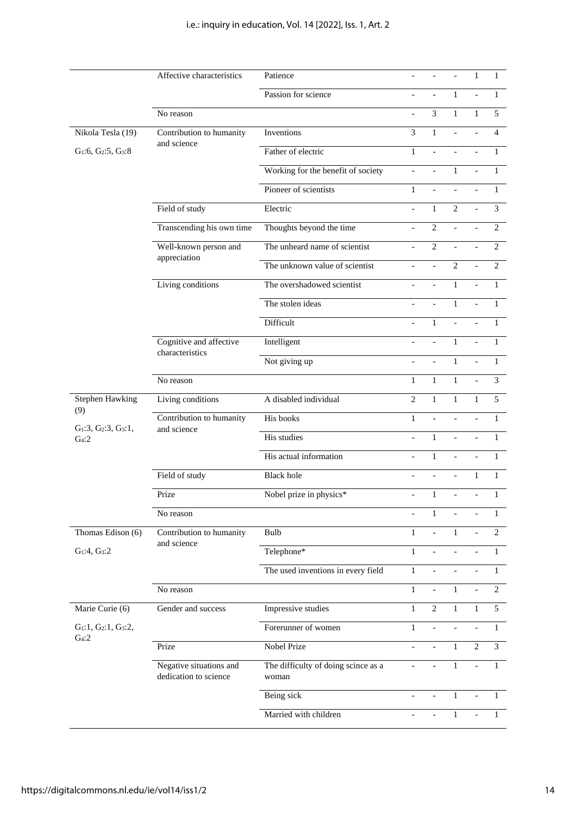|                                             | Affective characteristics                        | Patience                                     |                          |                          |                          |              |                |
|---------------------------------------------|--------------------------------------------------|----------------------------------------------|--------------------------|--------------------------|--------------------------|--------------|----------------|
|                                             |                                                  | Passion for science                          |                          |                          | $\mathbf{1}$             |              | $\mathbf{1}$   |
|                                             | No reason                                        |                                              |                          | 3                        | $\mathbf{1}$             | $\mathbf{1}$ | 5              |
| Nikola Tesla (19)                           | Contribution to humanity                         | Inventions                                   | 3                        | $\mathbf{1}$             |                          |              | $\overline{4}$ |
| $G_1:6, G_2:5, G_3:8$                       | and science                                      | Father of electric                           | $\mathbf{1}$             | $\overline{a}$           | $\overline{a}$           |              | $\mathbf{1}$   |
|                                             |                                                  | Working for the benefit of society           |                          |                          | $\mathbf{1}$             |              | 1              |
|                                             |                                                  | Pioneer of scientists                        | $\mathbf{1}$             | $\overline{a}$           |                          |              | 1              |
|                                             | Field of study                                   | Electric                                     | $\overline{a}$           | $\mathbf{1}$             | $\overline{2}$           | $\equiv$     | $\overline{3}$ |
|                                             | Transcending his own time                        | Thoughts beyond the time                     | $\overline{a}$           | $\overline{c}$           |                          |              | $\overline{2}$ |
|                                             | Well-known person and                            | The unheard name of scientist                |                          | $\overline{c}$           |                          |              | $\overline{2}$ |
|                                             | appreciation                                     | The unknown value of scientist               | $\blacksquare$           | $\overline{a}$           | $\overline{2}$           |              | $\overline{2}$ |
|                                             | Living conditions                                | The overshadowed scientist                   | $\overline{a}$           |                          | $\mathbf{1}$             |              | $\mathbf{1}$   |
|                                             |                                                  | The stolen ideas                             |                          |                          | $\mathbf{1}$             |              | $\mathbf{1}$   |
|                                             |                                                  | Difficult                                    |                          | $\mathbf{1}$             | $\overline{a}$           |              | 1              |
|                                             | Cognitive and affective<br>characteristics       | Intelligent                                  |                          | $\overline{a}$           | $\mathbf{1}$             |              | $\mathbf{1}$   |
|                                             |                                                  | Not giving up                                | $\overline{\phantom{a}}$ | $\overline{a}$           | $\mathbf{1}$             |              | $\mathbf{1}$   |
|                                             | No reason                                        |                                              | $\mathbf{1}$             | $\mathbf{1}$             | $\mathbf{1}$             |              | 3              |
| <b>Stephen Hawking</b>                      | Living conditions                                | A disabled individual                        | $\overline{c}$           | $\mathbf{1}$             | $\mathbf{1}$             | $\mathbf{1}$ | 5              |
| (9)                                         | Contribution to humanity                         | His books                                    | $\mathbf{1}$             | $\overline{a}$           |                          |              | $\mathbf{1}$   |
| $G_1:3, G_2:3, G_3:1,$<br>G <sub>4</sub> :2 | and science                                      | His studies                                  |                          | $\mathbf{1}$             |                          |              | $\mathbf{1}$   |
|                                             |                                                  | His actual information                       |                          | $\mathbf{1}$             |                          |              | 1              |
|                                             | Field of study                                   | <b>Black hole</b>                            |                          | $\overline{\phantom{a}}$ | $\overline{\phantom{a}}$ | $\mathbf{1}$ | 1              |
|                                             | Prize                                            | Nobel prize in physics*                      | $\blacksquare$           | $\mathbf{1}$             | $\overline{a}$           | $\equiv$     | $\mathbf{1}$   |
|                                             | No reason                                        |                                              |                          | $\mathbf{1}$             |                          |              | 1              |
| Thomas Edison (6)                           | Contribution to humanity                         | Bulb                                         | 1                        |                          | 1                        |              | $\overline{2}$ |
| $G_1:4, G_3:2$                              | and science                                      | Telephone*                                   | 1                        |                          |                          |              | 1              |
|                                             |                                                  | The used inventions in every field           | $\mathbf{1}$             |                          |                          |              | $\mathbf{1}$   |
|                                             | No reason                                        |                                              | $\mathbf{1}$             |                          | $\mathbf{1}$             |              | 2              |
| Marie Curie (6)                             | Gender and success                               | Impressive studies                           | $\mathbf{1}$             | $\overline{2}$           | $\mathbf{1}$             | $\mathbf{1}$ | 5              |
| $G_1:1, G_2:1, G_3:2,$                      |                                                  | Forerunner of women                          | $\mathbf{1}$             | $\overline{a}$           |                          |              | $\mathbf{1}$   |
| G <sub>4</sub> :2                           | Prize                                            | Nobel Prize                                  |                          |                          | $\mathbf{1}$             | 2            | $\overline{3}$ |
|                                             | Negative situations and<br>dedication to science | The difficulty of doing scince as a<br>woman |                          |                          | 1                        |              | 1              |
|                                             |                                                  | Being sick                                   |                          |                          | $\mathbf{1}$             |              | 1              |
|                                             |                                                  | Married with children                        |                          |                          | $\mathbf{1}$             |              | 1              |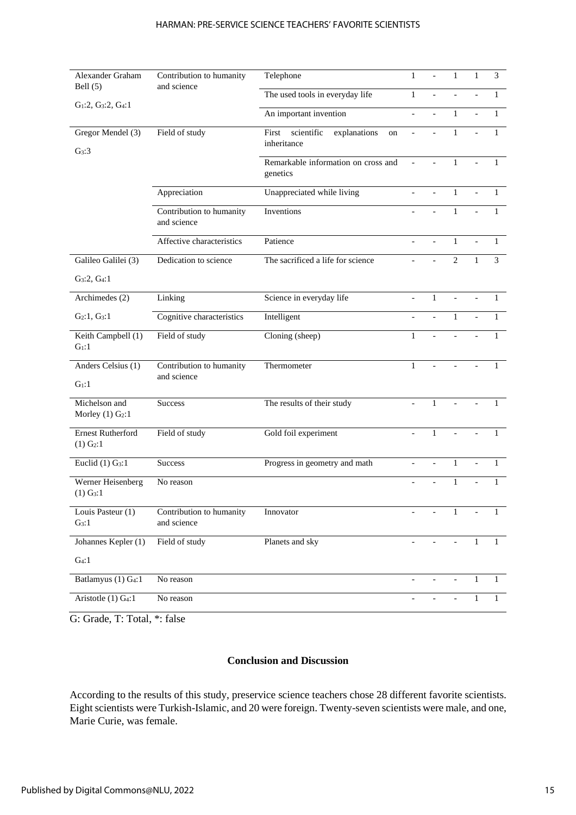#### HARMAN: PRE-SERVICE SCIENCE TEACHERS' FAVORITE SCIENTISTS

| Alexander Graham                                    | Contribution to humanity                | Telephone                                       | 1              |                          | $\mathbf{1}$   |              | 3              |
|-----------------------------------------------------|-----------------------------------------|-------------------------------------------------|----------------|--------------------------|----------------|--------------|----------------|
| Bell $(5)$                                          | and science                             | The used tools in everyday life                 | $\mathbf{1}$   |                          |                |              | 1              |
| $G_1:2, G_3:2, G_4:1$                               |                                         |                                                 |                |                          |                |              |                |
|                                                     |                                         | An important invention                          |                |                          | $\mathbf{1}$   |              | 1              |
| Gregor Mendel (3)                                   | Field of study                          | scientific<br>explanations<br>First<br>on       | $\overline{a}$ |                          | $\mathbf{1}$   |              | 1              |
| G <sub>3</sub> :3                                   |                                         | inheritance                                     |                |                          |                |              |                |
|                                                     |                                         | Remarkable information on cross and<br>genetics | $\mathbb{L}$   | $\overline{\phantom{a}}$ | $\mathbf{1}$   |              | $\mathbf{1}$   |
|                                                     | Appreciation                            | Unappreciated while living                      |                |                          | $\mathbf{1}$   |              | $\mathbf{1}$   |
|                                                     | Contribution to humanity<br>and science | Inventions                                      |                |                          | 1              |              | 1              |
|                                                     | Affective characteristics               | Patience                                        |                |                          | $\mathbf{1}$   |              | 1              |
| Galileo Galilei (3)                                 | Dedication to science                   | The sacrificed a life for science               |                |                          | $\overline{c}$ | 1            | 3              |
| $G_3:2, G_4:1$                                      |                                         |                                                 |                |                          |                |              |                |
| Archimedes (2)                                      | Linking                                 | Science in everyday life                        |                | $\mathbf{1}$             |                |              | 1              |
| $G_2:1, G_3:1$                                      | Cognitive characteristics               | Intelligent                                     |                |                          | 1              |              | 1              |
| Keith Campbell (1)<br>$G_1:1$                       | Field of study                          | Cloning (sheep)                                 | $\mathbf{1}$   | $\overline{a}$           |                |              | $\mathbf{1}$   |
| Anders Celsius (1)                                  | Contribution to humanity                | Thermometer                                     | $\mathbf{1}$   |                          |                |              | 1              |
| $G_1:1$                                             | and science                             |                                                 |                |                          |                |              |                |
| Michelson and                                       | <b>Success</b>                          | The results of their study                      |                | $\mathbf{1}$             |                |              | 1              |
| Morley $(1)$ G <sub>2</sub> :1                      |                                         |                                                 |                |                          |                |              |                |
| <b>Ernest Rutherford</b><br>$(1)$ G <sub>2</sub> :1 | Field of study                          | Gold foil experiment                            | $\overline{a}$ | $\mathbf{1}$             |                |              | 1              |
| Euclid $(1)$ G <sub>3</sub> :1                      | <b>Success</b>                          | Progress in geometry and math                   |                | $\blacksquare$           | $\mathbf{1}$   |              | $\mathbf{1}$   |
| Werner Heisenberg<br>$(1)$ G <sub>3</sub> :1        | No reason                               |                                                 |                |                          | 1              |              | 1              |
| Louis Pasteur (1)<br>G <sub>3</sub> :1              | Contribution to humanity<br>and science | Innovator                                       |                |                          | $\mathbf{1}$   |              |                |
| Johannes Kepler (1)                                 | Field of study                          | Planets and sky                                 |                |                          |                | 1            |                |
| $G_4:1$                                             |                                         |                                                 |                |                          |                |              |                |
| Batlamyus (1) G <sub>4</sub> :1                     | No reason                               |                                                 |                |                          |                | $\mathbf{1}$ | $\mathbf{1}$   |
| Aristotle (1) G <sub>4</sub> :1                     | No reason                               |                                                 |                |                          |                | $\mathbf{1}$ | $\overline{1}$ |

G: Grade, T: Total, \*: false

## **Conclusion and Discussion**

According to the results of this study, preservice science teachers chose 28 different favorite scientists. Eight scientists were Turkish-Islamic, and 20 were foreign. Twenty-seven scientists were male, and one, Marie Curie, was female.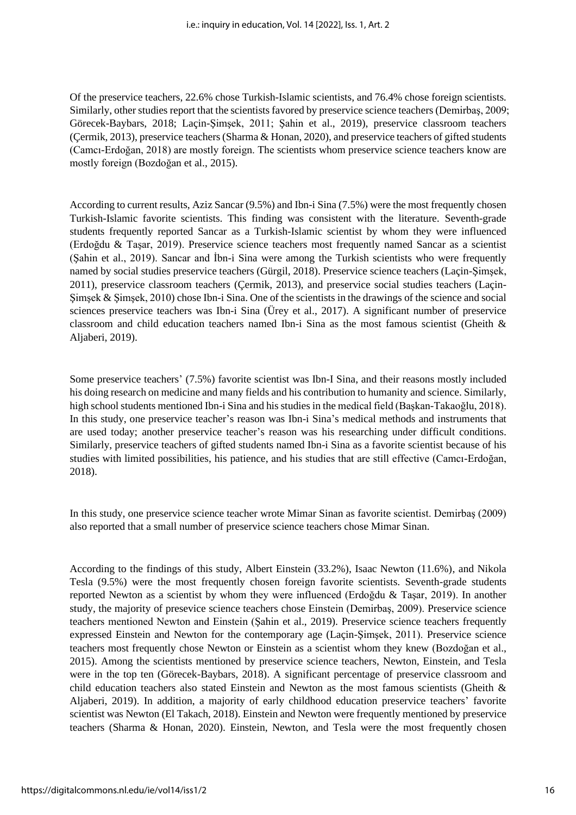Of the preservice teachers, 22.6% chose Turkish-Islamic scientists, and 76.4% chose foreign scientists. Similarly, other studies report that the scientists favored by preservice science teachers (Demirbaş, 2009; Görecek-Baybars, 2018; Laçin-Şimşek, 2011; Şahin et al., 2019), preservice classroom teachers (Çermik, 2013), preservice teachers (Sharma & Honan, 2020), and preservice teachers of gifted students (Camcı-Erdoğan, 2018) are mostly foreign. The scientists whom preservice science teachers know are mostly foreign (Bozdoğan et al., 2015).

According to current results, Aziz Sancar (9.5%) and Ibn-i Sina (7.5%) were the most frequently chosen Turkish-Islamic favorite scientists. This finding was consistent with the literature. Seventh-grade students frequently reported Sancar as a Turkish-Islamic scientist by whom they were influenced (Erdoğdu & Taşar, 2019). Preservice science teachers most frequently named Sancar as a scientist (Şahin et al., 2019). Sancar and İbn-i Sina were among the Turkish scientists who were frequently named by social studies preservice teachers (Gürgil, 2018). Preservice science teachers (Laçin-Şimşek, 2011), preservice classroom teachers (Çermik, 2013), and preservice social studies teachers (Laçin-Şimşek & Şimşek, 2010) chose Ibn-i Sina. One of the scientists in the drawings of the science and social sciences preservice teachers was Ibn-i Sina (Ürey et al., 2017). A significant number of preservice classroom and child education teachers named Ibn-i Sina as the most famous scientist (Gheith & Aljaberi, 2019).

Some preservice teachers' (7.5%) favorite scientist was Ibn-I Sina, and their reasons mostly included his doing research on medicine and many fields and his contribution to humanity and science. Similarly, high school students mentioned Ibn-i Sina and his studies in the medical field (Başkan-Takaoğlu, 2018). In this study, one preservice teacher's reason was Ibn-i Sina's medical methods and instruments that are used today; another preservice teacher's reason was his researching under difficult conditions. Similarly, preservice teachers of gifted students named Ibn-i Sina as a favorite scientist because of his studies with limited possibilities, his patience, and his studies that are still effective (Camcı-Erdoğan, 2018).

In this study, one preservice science teacher wrote Mimar Sinan as favorite scientist. Demirbaş (2009) also reported that a small number of preservice science teachers chose Mimar Sinan.

According to the findings of this study, Albert Einstein (33.2%), Isaac Newton (11.6%), and Nikola Tesla (9.5%) were the most frequently chosen foreign favorite scientists. Seventh-grade students reported Newton as a scientist by whom they were influenced (Erdoğdu & Taşar, 2019). In another study, the majority of presevice science teachers chose Einstein (Demirbaş, 2009). Preservice science teachers mentioned Newton and Einstein (Şahin et al., 2019). Preservice science teachers frequently expressed Einstein and Newton for the contemporary age (Laçin-Şimşek, 2011). Preservice science teachers most frequently chose Newton or Einstein as a scientist whom they knew (Bozdoğan et al., 2015). Among the scientists mentioned by preservice science teachers, Newton, Einstein, and Tesla were in the top ten (Görecek-Baybars, 2018). A significant percentage of preservice classroom and child education teachers also stated Einstein and Newton as the most famous scientists (Gheith & Aljaberi, 2019). In addition, a majority of early childhood education preservice teachers' favorite scientist was Newton (El Takach, 2018). Einstein and Newton were frequently mentioned by preservice teachers (Sharma & Honan, 2020). Einstein, Newton, and Tesla were the most frequently chosen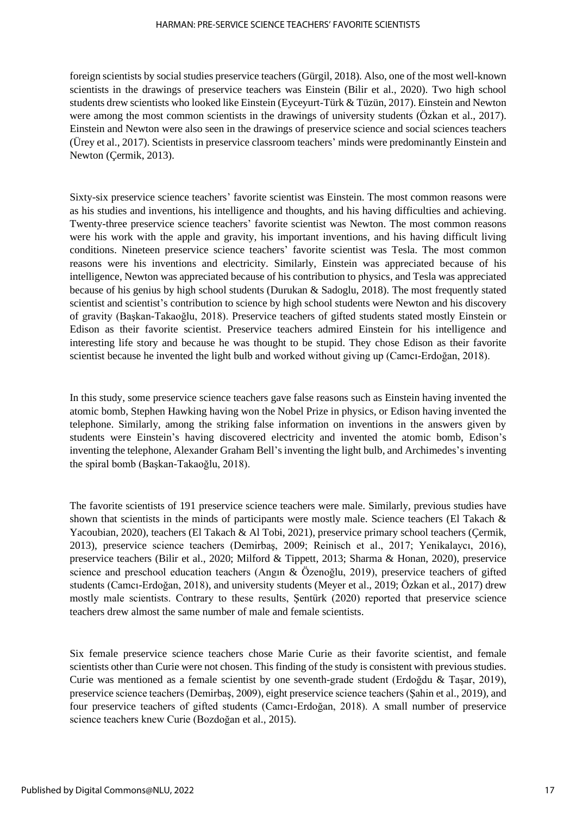foreign scientists by social studies preservice teachers (Gürgil, 2018). Also, one of the most well-known scientists in the drawings of preservice teachers was Einstein (Bilir et al., 2020). Two high school students drew scientists who looked like Einstein (Eyceyurt-Türk & Tüzün, 2017). Einstein and Newton were among the most common scientists in the drawings of university students (Özkan et al., 2017). Einstein and Newton were also seen in the drawings of preservice science and social sciences teachers (Ürey et al., 2017). Scientists in preservice classroom teachers' minds were predominantly Einstein and Newton (Çermik, 2013).

Sixty-six preservice science teachers' favorite scientist was Einstein. The most common reasons were as his studies and inventions, his intelligence and thoughts, and his having difficulties and achieving. Twenty-three preservice science teachers' favorite scientist was Newton. The most common reasons were his work with the apple and gravity, his important inventions, and his having difficult living conditions. Nineteen preservice science teachers' favorite scientist was Tesla. The most common reasons were his inventions and electricity. Similarly, Einstein was appreciated because of his intelligence, Newton was appreciated because of his contribution to physics, and Tesla was appreciated because of his genius by high school students (Durukan & Sadoglu, 2018). The most frequently stated scientist and scientist's contribution to science by high school students were Newton and his discovery of gravity (Başkan-Takaoğlu, 2018). Preservice teachers of gifted students stated mostly Einstein or Edison as their favorite scientist. Preservice teachers admired Einstein for his intelligence and interesting life story and because he was thought to be stupid. They chose Edison as their favorite scientist because he invented the light bulb and worked without giving up (Camcı-Erdoğan, 2018).

In this study, some preservice science teachers gave false reasons such as Einstein having invented the atomic bomb, Stephen Hawking having won the Nobel Prize in physics, or Edison having invented the telephone. Similarly, among the striking false information on inventions in the answers given by students were Einstein's having discovered electricity and invented the atomic bomb, Edison's inventing the telephone, Alexander Graham Bell's inventing the light bulb, and Archimedes's inventing the spiral bomb (Başkan-Takaoğlu, 2018).

The favorite scientists of 191 preservice science teachers were male. Similarly, previous studies have shown that scientists in the minds of participants were mostly male. Science teachers (El Takach & Yacoubian, 2020), teachers (El Takach & Al Tobi, 2021), preservice primary school teachers (Çermik, 2013), preservice science teachers (Demirbaş, 2009; Reinisch et al., 2017; Yenikalaycı, 2016), preservice teachers (Bilir et al., 2020; Milford & Tippett, 2013; Sharma & Honan, 2020), preservice science and preschool education teachers (Angın & Özenoğlu, 2019), preservice teachers of gifted students (Camcı-Erdoğan, 2018), and university students (Meyer et al., 2019; Özkan et al., 2017) drew mostly male scientists. Contrary to these results, Şentürk (2020) reported that preservice science teachers drew almost the same number of male and female scientists.

Six female preservice science teachers chose Marie Curie as their favorite scientist, and female scientists other than Curie were not chosen. This finding of the study is consistent with previous studies. Curie was mentioned as a female scientist by one seventh-grade student (Erdoğdu & Taşar, 2019), preservice science teachers (Demirbaş, 2009), eight preservice science teachers (Şahin et al., 2019), and four preservice teachers of gifted students (Camcı-Erdoğan, 2018). A small number of preservice science teachers knew Curie (Bozdoğan et al., 2015).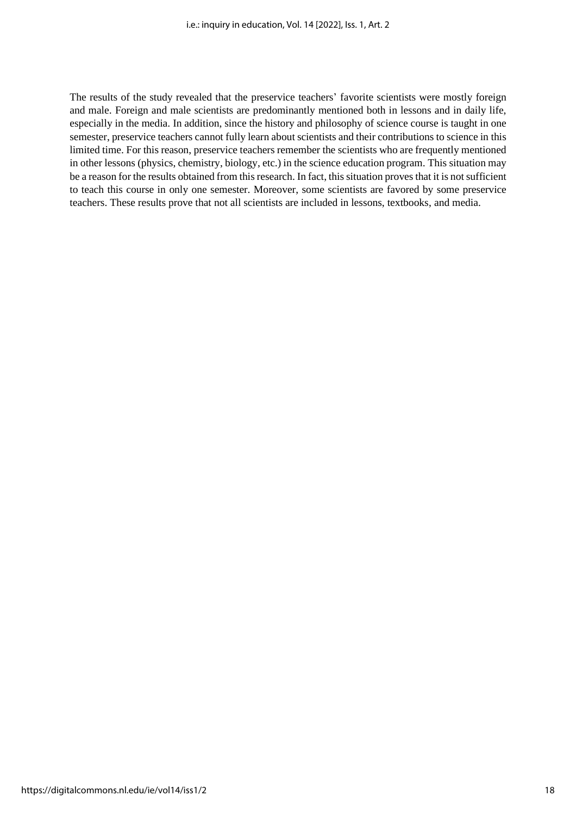The results of the study revealed that the preservice teachers' favorite scientists were mostly foreign and male. Foreign and male scientists are predominantly mentioned both in lessons and in daily life, especially in the media. In addition, since the history and philosophy of science course is taught in one semester, preservice teachers cannot fully learn about scientists and their contributions to science in this limited time. For this reason, preservice teachers remember the scientists who are frequently mentioned in other lessons (physics, chemistry, biology, etc.) in the science education program. This situation may be a reason for the results obtained from this research. In fact, this situation proves that it is not sufficient to teach this course in only one semester. Moreover, some scientists are favored by some preservice teachers. These results prove that not all scientists are included in lessons, textbooks, and media.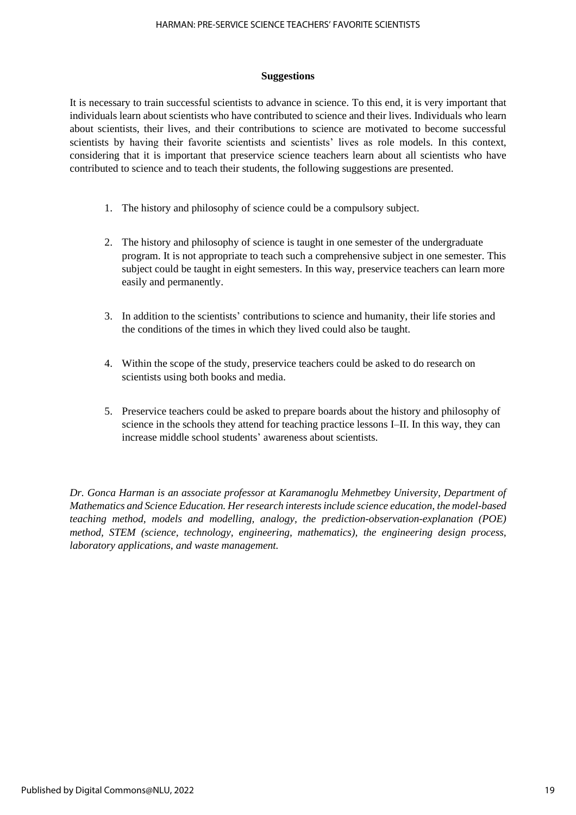#### **Suggestions**

It is necessary to train successful scientists to advance in science. To this end, it is very important that individuals learn about scientists who have contributed to science and their lives. Individuals who learn about scientists, their lives, and their contributions to science are motivated to become successful scientists by having their favorite scientists and scientists' lives as role models. In this context, considering that it is important that preservice science teachers learn about all scientists who have contributed to science and to teach their students, the following suggestions are presented.

- 1. The history and philosophy of science could be a compulsory subject.
- 2. The history and philosophy of science is taught in one semester of the undergraduate program. It is not appropriate to teach such a comprehensive subject in one semester. This subject could be taught in eight semesters. In this way, preservice teachers can learn more easily and permanently.
- 3. In addition to the scientists' contributions to science and humanity, their life stories and the conditions of the times in which they lived could also be taught.
- 4. Within the scope of the study, preservice teachers could be asked to do research on scientists using both books and media.
- 5. Preservice teachers could be asked to prepare boards about the history and philosophy of science in the schools they attend for teaching practice lessons I–II. In this way, they can increase middle school students' awareness about scientists.

*Dr. Gonca Harman is an associate professor at Karamanoglu Mehmetbey University, Department of Mathematics and Science Education. Her research interests include science education, the model-based teaching method, models and modelling, analogy, the prediction-observation-explanation (POE) method, STEM (science, technology, engineering, mathematics), the engineering design process, laboratory applications, and waste management.*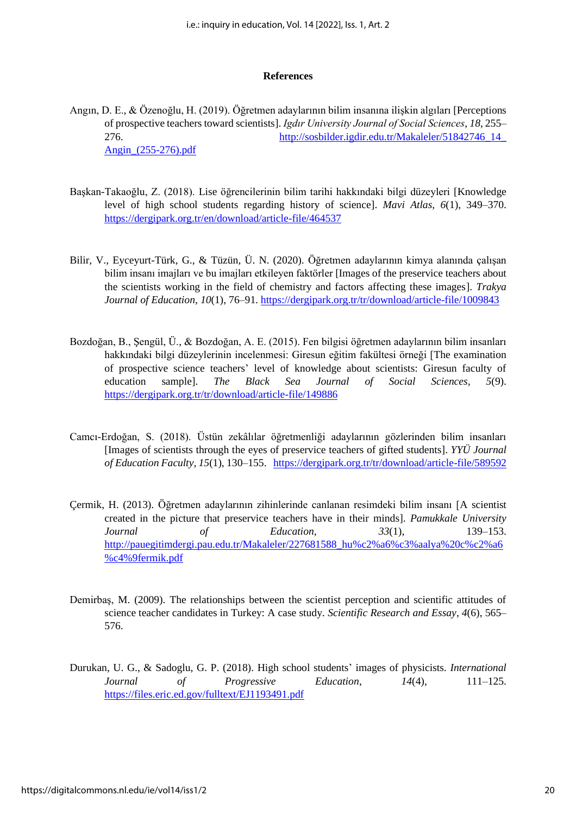#### **References**

- Angın, D. E., & Özenoğlu, H. (2019). Öğretmen adaylarının bilim insanına ilişkin algıları [Perceptions of prospective teachers toward scientists]. *Igdır University Journal of Social Sciences, 18*, 255– 276. [http://sosbilder.igdir.edu.tr/Makaleler/51842746\\_14\\_](http://sosbilder.igdir.edu.tr/Makaleler/51842746_14_Angin_(255-276).pdf) [Angin\\_\(255-276\).pdf](http://sosbilder.igdir.edu.tr/Makaleler/51842746_14_Angin_(255-276).pdf)
- Başkan-Takaoğlu, Z. (2018). Lise öğrencilerinin bilim tarihi hakkındaki bilgi düzeyleri [Knowledge level of high school students regarding history of science]. *Mavi Atlas, 6*(1), 349–370. <https://dergipark.org.tr/en/download/article-file/464537>
- Bilir, V., Eyceyurt-Türk, G., & Tüzün, Ü. N. (2020). Öğretmen adaylarının kimya alanında çalışan bilim insanı imajları ve bu imajları etkileyen faktörler [Images of the preservice teachers about the scientists working in the field of chemistry and factors affecting these images]. *Trakya Journal of Education*, *10*(1), 76–91.<https://dergipark.org.tr/tr/download/article-file/1009843>
- Bozdoğan, B., Şengül, Ü., & Bozdoğan, A. E. (2015). Fen bilgisi öğretmen adaylarının bilim insanları hakkındaki bilgi düzeylerinin incelenmesi: Giresun eğitim fakültesi örneği [The examination of prospective science teachers' level of knowledge about scientists: Giresun faculty of education sample]. *The Black Sea Journal of Social Sciences, 5*(9). <https://dergipark.org.tr/tr/download/article-file/149886>
- Camcı-Erdoğan, S. (2018). Üstün zekâlılar öğretmenliği adaylarının gözlerinden bilim insanları [Images of scientists through the eyes of preservice teachers of gifted students]. *YYÜ Journal of Education Faculty, 15*(1), 130–155.<https://dergipark.org.tr/tr/download/article-file/589592>
- Çermik, H. (2013). Öğretmen adaylarının zihinlerinde canlanan resimdeki bilim insanı [A scientist created in the picture that preservice teachers have in their minds]. *Pamukkale University Journal of Education*, *33*(1), 139–153. [http://pauegitimdergi.pau.edu.tr/Makaleler/227681588\\_hu%c2%a6%c3%aalya%20c%c2%a6](http://pauegitimdergi.pau.edu.tr/Makaleler/227681588_hu%c2%a6%c3%aalya%20c%c2%a6%c4%9fermik.pdf) [%c4%9fermik.pdf](http://pauegitimdergi.pau.edu.tr/Makaleler/227681588_hu%c2%a6%c3%aalya%20c%c2%a6%c4%9fermik.pdf)
- Demirbaş, M. (2009). The relationships between the scientist perception and scientific attitudes of science teacher candidates in Turkey: A case study. *Scientific Research and Essay*, *4*(6), 565– 576.
- Durukan, U. G., & Sadoglu, G. P. (2018). High school students' images of physicists. *International Journal of Progressive Education*, *14*(4), 111–125. <https://files.eric.ed.gov/fulltext/EJ1193491.pdf>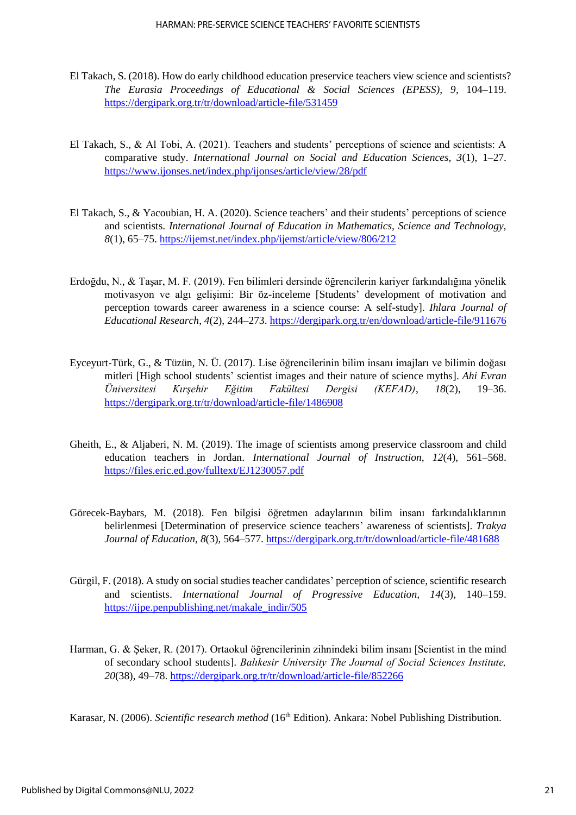- El Takach, S. (2018). How do early childhood education preservice teachers view science and scientists? *The Eurasia Proceedings of Educational & Social Sciences (EPESS), 9*, 104–119. <https://dergipark.org.tr/tr/download/article-file/531459>
- El Takach, S., & Al Tobi, A. (2021). Teachers and students' perceptions of science and scientists: A comparative study. *International Journal on Social and Education Sciences, 3*(1), 1–27. <https://www.ijonses.net/index.php/ijonses/article/view/28/pdf>
- El Takach, S., & Yacoubian, H. A. (2020). Science teachers' and their students' perceptions of science and scientists. *International Journal of Education in Mathematics, Science and Technology, 8*(1), 65–75.<https://ijemst.net/index.php/ijemst/article/view/806/212>
- Erdoğdu, N., & Taşar, M. F. (2019). Fen bilimleri dersinde öğrencilerin kariyer farkındalığına yönelik motivasyon ve algı gelişimi: Bir öz-inceleme [Students' development of motivation and perception towards career awareness in a science course: A self-study]. *Ihlara Journal of Educational Research*, *4*(2), 244–273. <https://dergipark.org.tr/en/download/article-file/911676>
- Eyceyurt-Türk, G., & Tüzün, N. Ü. (2017). Lise öğrencilerinin bilim insanı imajları ve bilimin doğası mitleri [High school students' scientist images and their nature of science myths]. *Ahi Evran Üniversitesi Kırşehir Eğitim Fakültesi Dergisi (KEFAD)*, *18*(2), 19–36. <https://dergipark.org.tr/tr/download/article-file/1486908>
- Gheith, E., & Aljaberi, N. M. (2019). The image of scientists among preservice classroom and child education teachers in Jordan. *International Journal of Instruction, 12*(4), 561–568. <https://files.eric.ed.gov/fulltext/EJ1230057.pdf>
- Görecek-Baybars, M. (2018). Fen bilgisi öğretmen adaylarının bilim insanı farkındalıklarının belirlenmesi [Determination of preservice science teachers' awareness of scientists]. *Trakya Journal of Education*, *8*(3), 564–577. <https://dergipark.org.tr/tr/download/article-file/481688>
- Gürgil, F. (2018). A study on social studies teacher candidates' perception of science, scientific research and scientists. *International Journal of Progressive Education, 14*(3), 140–159. [https://ijpe.penpublishing.net/makale\\_indir/505](https://ijpe.penpublishing.net/makale_indir/505)
- Harman, G. & Şeker, R. (2017). Ortaokul öğrencilerinin zihnindeki bilim insanı [Scientist in the mind of secondary school students]. *Balıkesir University The Journal of Social Sciences Institute, 20*(38), 49–78. <https://dergipark.org.tr/tr/download/article-file/852266>

Karasar, N. (2006). *Scientific research method* (16<sup>th</sup> Edition). Ankara: Nobel Publishing Distribution.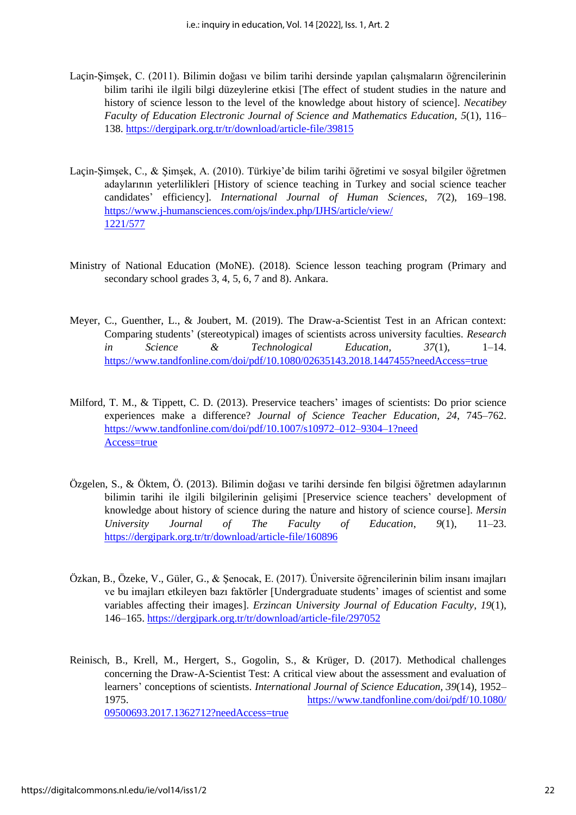- Laçin-Şimşek, C. (2011). Bilimin doğası ve bilim tarihi dersinde yapılan çalışmaların öğrencilerinin bilim tarihi ile ilgili bilgi düzeylerine etkisi [The effect of student studies in the nature and history of science lesson to the level of the knowledge about history of science]. *Necatibey Faculty of Education Electronic Journal of Science and Mathematics Education, 5*(1), 116– 138.<https://dergipark.org.tr/tr/download/article-file/39815>
- Laçin-Şimşek, C., & Şimşek, A. (2010). Türkiye'de bilim tarihi öğretimi ve sosyal bilgiler öğretmen adaylarının yeterlilikleri [History of science teaching in Turkey and social science teacher candidates' efficiency]. *International Journal of Human Sciences*, *7*(2), 169–198. [https://www.j-humansciences.com/ojs/index.php/IJHS/article/view/](https://www.j-humansciences.com/ojs/index.php/IJHS/article/view/1221/577) [1221/577](https://www.j-humansciences.com/ojs/index.php/IJHS/article/view/1221/577)
- Ministry of National Education (MoNE). (2018). Science lesson teaching program (Primary and secondary school grades 3, 4, 5, 6, 7 and 8). Ankara.
- Meyer, C., Guenther, L., & Joubert, M. (2019). The Draw-a-Scientist Test in an African context: Comparing students' (stereotypical) images of scientists across university faculties. *Research in Science & Technological Education, 37*(1), 1–14. <https://www.tandfonline.com/doi/pdf/10.1080/02635143.2018.1447455?needAccess=true>
- Milford, T. M., & Tippett, C. D. (2013). Preservice teachers' images of scientists: Do prior science experiences make a difference? *Journal of Science Teacher Education, 24*, 745–762. [https://www.tandfonline.com/doi/pdf/10.1007/s10972–012–9304–1?need](https://www.tandfonline.com/doi/pdf/10.1007/s10972-012-9304-1?needAccess=true) [Access=true](https://www.tandfonline.com/doi/pdf/10.1007/s10972-012-9304-1?needAccess=true)
- Özgelen, S., & Öktem, Ö. (2013). Bilimin doğası ve tarihi dersinde fen bilgisi öğretmen adaylarının bilimin tarihi ile ilgili bilgilerinin gelişimi [Preservice science teachers' development of knowledge about history of science during the nature and history of science course]. *Mersin University Journal of The Faculty of Education*, *9*(1), 11–23. <https://dergipark.org.tr/tr/download/article-file/160896>
- Özkan, B., Özeke, V., Güler, G., & Şenocak, E. (2017). Üniversite öğrencilerinin bilim insanı imajları ve bu imajları etkileyen bazı faktörler [Undergraduate students' images of scientist and some variables affecting their images]. *Erzincan University Journal of Education Faculty*, *19*(1), 146–165.<https://dergipark.org.tr/tr/download/article-file/297052>
- Reinisch, B., Krell, M., Hergert, S., Gogolin, S., & Krüger, D. (2017). Methodical challenges concerning the Draw-A-Scientist Test: A critical view about the assessment and evaluation of learners' conceptions of scientists. *International Journal of Science Education, 39*(14), 1952– 1975. [https://www.tandfonline.com/doi/pdf/10.1080/](https://www.tandfonline.com/doi/pdf/10.1080/09500693.2017.1362712?needAccess=true) [09500693.2017.1362712?needAccess=true](https://www.tandfonline.com/doi/pdf/10.1080/09500693.2017.1362712?needAccess=true)